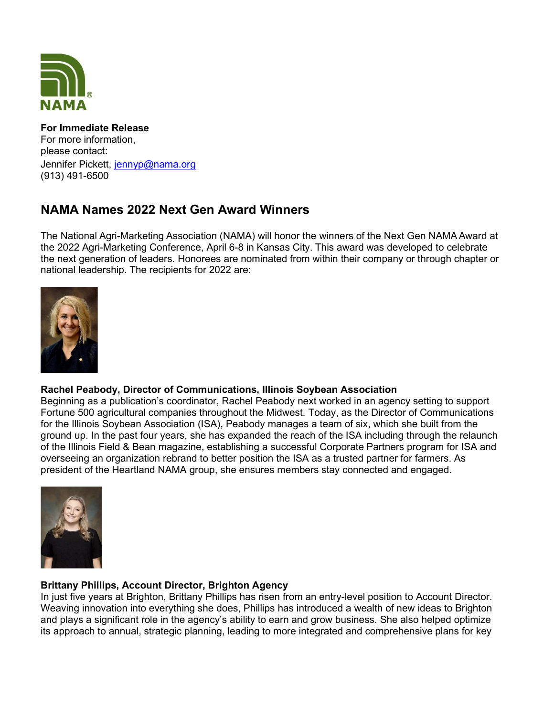

### For Immediate Release For more information, please contact: Jennifer Pickett, jennyp@nama.org (913) 491-6500

# NAMA Names 2022 Next Gen Award Winners

The National Agri-Marketing Association (NAMA) will honor the winners of the Next Gen NAMA Award at the 2022 Agri-Marketing Conference, April 6-8 in Kansas City. This award was developed to celebrate the next generation of leaders. Honorees are nominated from within their company or through chapter or national leadership. The recipients for 2022 are:



## Rachel Peabody, Director of Communications, Illinois Soybean Association

Beginning as a publication's coordinator, Rachel Peabody next worked in an agency setting to support Fortune 500 agricultural companies throughout the Midwest. Today, as the Director of Communications for the Illinois Soybean Association (ISA), Peabody manages a team of six, which she built from the ground up. In the past four years, she has expanded the reach of the ISA including through the relaunch of the Illinois Field & Bean magazine, establishing a successful Corporate Partners program for ISA and overseeing an organization rebrand to better position the ISA as a trusted partner for farmers. As president of the Heartland NAMA group, she ensures members stay connected and engaged.



## Brittany Phillips, Account Director, Brighton Agency

In just five years at Brighton, Brittany Phillips has risen from an entry-level position to Account Director. Weaving innovation into everything she does, Phillips has introduced a wealth of new ideas to Brighton and plays a significant role in the agency's ability to earn and grow business. She also helped optimize its approach to annual, strategic planning, leading to more integrated and comprehensive plans for key